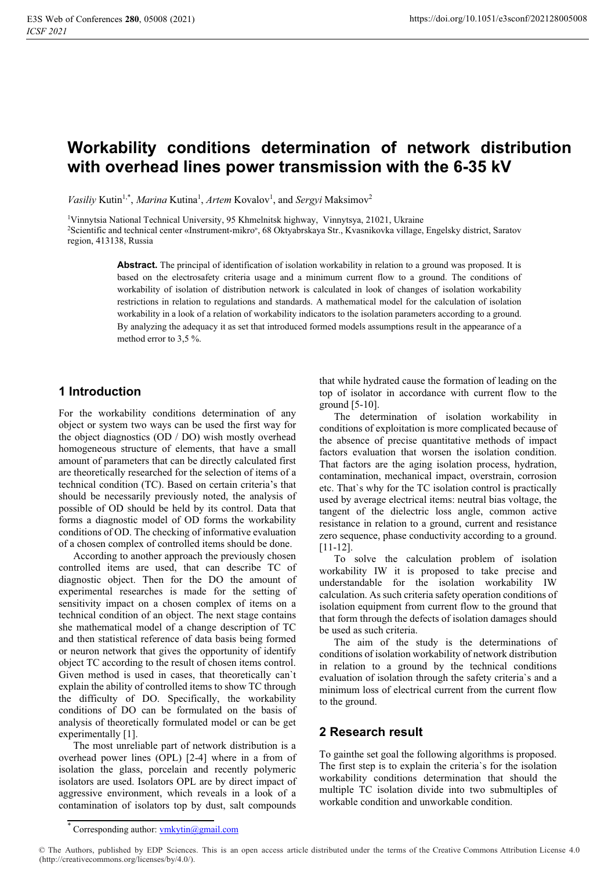# **Workability conditions determination of network distribution with overhead lines power transmission with the 6-35 kV**

*Vasiliy Kutin<sup>1,\*</sup>, Marina Kutina<sup>1</sup>, Artem Kovalov<sup>1</sup>, and <i>Sergyi* Maksimov<sup>2</sup>

<sup>1</sup>Vinnytsia National Technical University, 95 Khmelnitsk highway, Vinnytsya, 21021, Ukraine<br><sup>2</sup>Scientific and technical center «Instrument-mikro», 68 Oktyabrskaya Str., Kvasnikovka village, Engelsky district, Saratov

region, 413138, Russia

**Abstract.** The principal of identification of isolation workability in relation to a ground was proposed. It is based on the electrosafety criteria usage and a minimum current flow to a ground. The conditions of workability of isolation of distribution network is calculated in look of changes of isolation workability restrictions in relation to regulations and standards. A mathematical model for the calculation of isolation workability in a look of a relation of workability indicators to the isolation parameters according to a ground. By analyzing the adequacy it as set that introduced formed models assumptions result in the appearance of a method error to 3,5 %.

## **1 Introduction**

For the workability conditions determination of any object or system two ways can be used the first way for the object diagnostics (OD / DO) wish mostly overhead homogeneous structure of elements, that have a small amount of parameters that can be directly calculated first are theoretically researched for the selection of items of a technical condition (TC). Based on certain criteria's that should be necessarily previously noted, the analysis of possible of OD should be held by its control. Data that forms a diagnostic model of OD forms the workability conditions of OD. The checking of informative evaluation of a chosen complex of controlled items should be done.

According to another approach the previously chosen controlled items are used, that can describe TC of diagnostic object. Then for the DO the amount of experimental researches is made for the setting of sensitivity impact on a chosen complex of items on a technical condition of an object. The next stage contains she mathematical model of a change description of TC and then statistical reference of data basis being formed or neuron network that gives the opportunity of identify object TC according to the result of chosen items control. Given method is used in cases, that theoretically can`t explain the ability of controlled items to show TC through the difficulty of DO. Specifically, the workability conditions of DO can be formulated on the basis of analysis of theoretically formulated model or can be get experimentally [1].

The most unreliable part of network distribution is a overhead power lines (OPL) [2-4] where in a from of isolation the glass, porcelain and recently polymeric isolators are used. Isolators OPL are by direct impact of aggressive environment, which reveals in a look of a contamination of isolators top by dust, salt compounds

that while hydrated cause the formation of leading on the top of isolator in accordance with current flow to the ground [5-10].

The determination of isolation workability in conditions of exploitation is more complicated because of the absence of precise quantitative methods of impact factors evaluation that worsen the isolation condition. That factors are the aging isolation process, hydration, contamination, mechanical impact, overstrain, corrosion etc. That`s why for the TC isolation control is practically used by average electrical items: neutral bias voltage, the tangent of the dielectric loss angle, common active resistance in relation to a ground, current and resistance zero sequence, phase conductivity according to a ground. [11-12].

To solve the calculation problem of isolation workability IW it is proposed to take precise and understandable for the isolation workability IW calculation. As such criteria safety operation conditions of isolation equipment from current flow to the ground that that form through the defects of isolation damages should be used as such criteria.

The aim of the study is the determinations of conditions of isolation workability of network distribution in relation to a ground by the technical conditions evaluation of isolation through the safety criteria`s and a minimum loss of electrical current from the current flow to the ground.

## **2 Research result**

To gainthe set goal the following algorithms is proposed. The first step is to explain the criteria`s for the isolation workability conditions determination that should the multiple TC isolation divide into two submultiples of workable condition and unworkable condition.

Corresponding author: vmkytin@gmail.com

<sup>©</sup> The Authors, published by EDP Sciences. This is an open access article distributed under the terms of the Creative Commons Attribution License 4.0 (http://creativecommons.org/licenses/by/4.0/).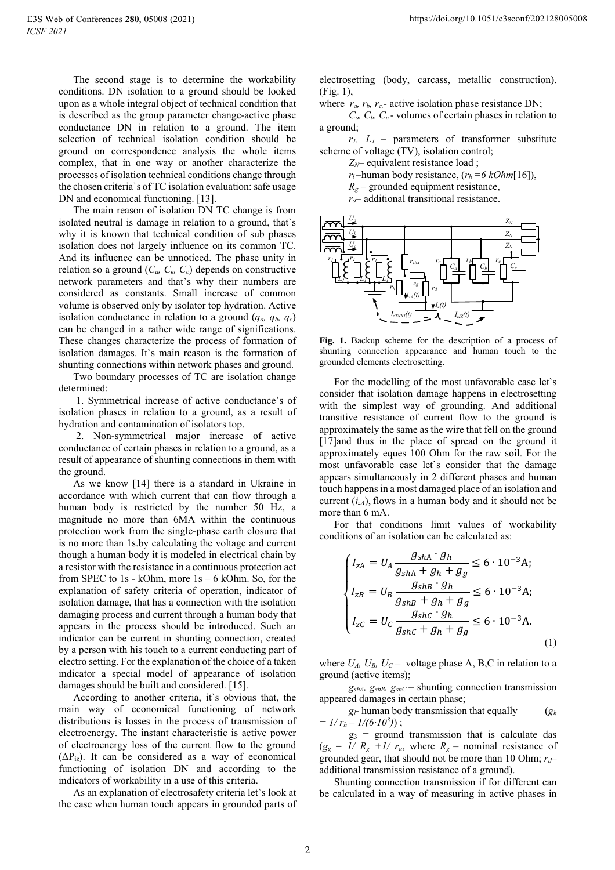The second stage is to determine the workability conditions. DN isolation to a ground should be looked upon as a whole integral object of technical condition that is described as the group parameter change-active phase conductance DN in relation to a ground. The item selection of technical isolation condition should be ground on correspondence analysis the whole items complex, that in one way or another characterize the processes of isolation technical conditions change through the chosen criteria`s of TC isolation evaluation: safe usage DN and economical functioning. [13].

The main reason of isolation DN TC change is from isolated neutral is damage in relation to a ground, that`s why it is known that technical condition of sub phases isolation does not largely influence on its common TC. And its influence can be unnoticed. The phase unity in relation so a ground  $(C_a, C_a, C_c)$  depends on constructive network parameters and that's why their numbers are considered as constants. Small increase of common volume is observed only by isolator top hydration. Active isolation conductance in relation to a ground  $(q_a, q_b, q_c)$ can be changed in a rather wide range of significations. These changes characterize the process of formation of isolation damages. It`s main reason is the formation of shunting connections within network phases and ground.

Two boundary processes of TC are isolation change determined:

 1. Symmetrical increase of active conductance's of isolation phases in relation to a ground, as a result of hydration and contamination of isolators top.

 2. Non-symmetrical major increase of active conductance of certain phases in relation to a ground, as a result of appearance of shunting connections in them with the ground.

As we know [14] there is a standard in Ukraine in accordance with which current that can flow through a human body is restricted by the number 50 Hz, a magnitude no more than 6MA within the continuous protection work from the single-phase earth closure that is no more than 1s.by calculating the voltage and current though a human body it is modeled in electrical chain by a resistor with the resistance in a continuous protection act from SPEC to 1s - kOhm, more 1s – 6 kOhm. So, for the explanation of safety criteria of operation, indicator of isolation damage, that has a connection with the isolation damaging process and current through a human body that appears in the process should be introduced. Such an indicator can be current in shunting connection, created by a person with his touch to a current conducting part of electro setting. For the explanation of the choice of a taken indicator a special model of appearance of isolation damages should be built and considered. [15].

According to another criteria, it`s obvious that, the main way of economical functioning of network distributions is losses in the process of transmission of electroenergy. The instant characteristic is active power of electroenergy loss of the current flow to the ground  $(\Delta P_{1z})$ . It can be considered as a way of economical functioning of isolation DN and according to the indicators of workability in a use of this criteria.

As an explanation of electrosafety criteria let`s look at the case when human touch appears in grounded parts of electrosetting (body, carcass, metallic construction). (Fig. 1),

where  $r_a$ ,  $r_b$ ,  $r_c$ - active isolation phase resistance DN;

*Сa, Сb, С<sup>c</sup>* - volumes of certain phases in relation to a ground;

 $r_1$ ,  $L_1$  – parameters of transformer substitute scheme of voltage (TV), isolation control;

Z<sub>N</sub>– equivalent resistance load;

*rl* –human body resistance, (*rh =6 kОhm*[16]),

 $R_g$  – grounded equipment resistance,

 $r_d$ – additional transitional resistance.



**Fig. 1.** Backup scheme for the description of a process of shunting connection appearance and human touch to the grounded elements electrosetting.

For the modelling of the most unfavorable case let`s consider that isolation damage happens in electrosetting with the simplest way of grounding. And additional transitive resistance of current flow to the ground is approximately the same as the wire that fell on the ground [17]and thus in the place of spread on the ground it approximately eques 100 Ohm for the raw soil. For the most unfavorable case let`s consider that the damage appears simultaneously in 2 different phases and human touch happens in a most damaged place of an isolation and current  $(i_{zA})$ , flows in a human body and it should not be more than 6 mA.

For that conditions limit values of workability conditions of an isolation can be calculated as:

$$
\begin{cases}\nI_{zA} = U_A \frac{g_{shA} \cdot g_h}{g_{shA} + g_h + g_g} \le 6 \cdot 10^{-3} \text{A}; \\
I_{zB} = U_B \frac{g_{shB} \cdot g_h}{g_{shB} + g_h + g_g} \le 6 \cdot 10^{-3} \text{A}; \\
I_{zC} = U_C \frac{g_{shC} \cdot g_h}{g_{shC} + g_h + g_g} \le 6 \cdot 10^{-3} \text{A}.\n\end{cases}
$$
\n(1)

where  $U_A$ ,  $U_B$ ,  $U_C$  – voltage phase A, B,C in relation to a ground (active items);

*gshА, gshВ, gshС* – shunting connection transmission appeared damages in certain phase;

*gl*- human body transmission that equally (*gh*   $= 1/r_h - 1/(6.10^3)$ ;

 $g_3$  = ground transmission that is calculate das  $(g_g = 1/R_g + 1/r_a$ , where  $R_g$  – nominal resistance of grounded gear, that should not be more than 10 Оhm; *rd*– additional transmission resistance of a ground).

Shunting connection transmission if for different can be calculated in a way of measuring in active phases in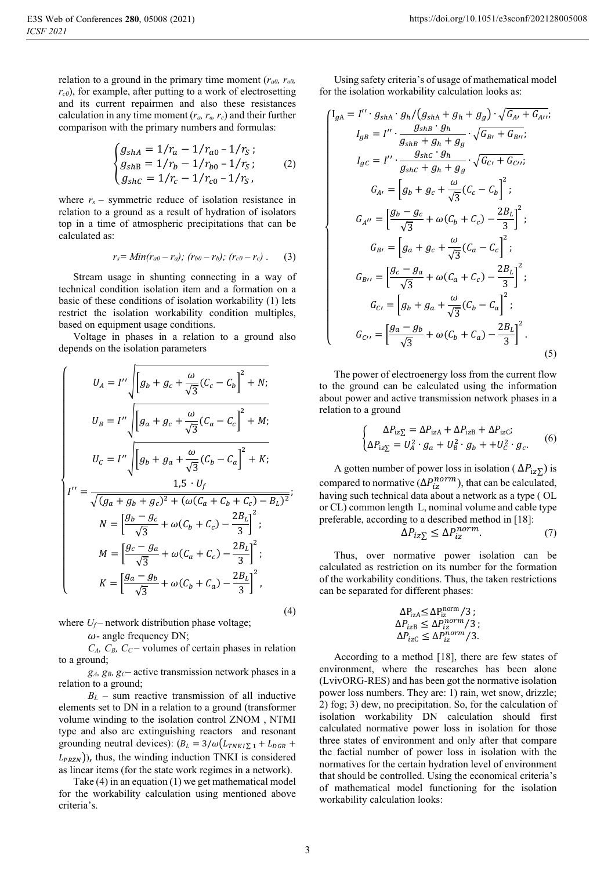relation to a ground in the primary time moment  $(r_{a0}, r_{b0})$  $r_{c0}$ , for example, after putting to a work of electrosetting and its current repairmen and also these resistances calculation in any time moment  $(r_a, r_a, r_c)$  and their further comparison with the primary numbers and formulas:

$$
\begin{cases}\ng_{shA} = 1/r_a - 1/r_{a0} - 1/r_s; \\
g_{shB} = 1/r_b - 1/r_{b0} - 1/r_s; \\
g_{shC} = 1/r_c - 1/r_{c0} - 1/r_s,\n\end{cases} (2)
$$

where  $r_s$  – symmetric reduce of isolation resistance in relation to a ground as a result of hydration of isolators top in a time of atmospheric precipitations that can be calculated as:

$$
r_s = Min(r_{a0} - r_a); (r_{b0} - r_b); (r_{c0} - r_c).
$$
 (3)

Stream usage in shunting connecting in a way of technical condition isolation item and a formation on a basic of these conditions of isolation workability (1) lets restrict the isolation workability condition multiples, based on equipment usage conditions.

Voltage in phases in a relation to a ground also depends on the isolation parameters

$$
U_{A} = I'' \sqrt{\left[g_{b} + g_{c} + \frac{\omega}{\sqrt{3}}(C_{c} - C_{b}\right]^{2} + N; \nU_{B} = I'' \sqrt{\left[g_{a} + g_{c} + \frac{\omega}{\sqrt{3}}(C_{a} - C_{c}\right]^{2} + M; \nU_{C} = I'' \sqrt{\left[g_{b} + g_{a} + \frac{\omega}{\sqrt{3}}(C_{b} - C_{a}\right]^{2} + K; \nI'' = \frac{1.5 \cdot U_{f}}{\sqrt{(g_{a} + g_{b} + g_{c})^{2} + (\omega(C_{a} + C_{b} + C_{c}) - B_{L})^{2}}; \nN = \left[\frac{g_{b} - g_{c}}{\sqrt{3}} + \omega(C_{b} + C_{c}) - \frac{2B_{L}}{3}\right]^{2}; \nM = \left[\frac{g_{c} - g_{a}}{\sqrt{3}} + \omega(C_{a} + C_{c}) - \frac{2B_{L}}{3}\right]^{2}; \nK = \left[\frac{g_{a} - g_{b}}{\sqrt{3}} + \omega(C_{b} + C_{a}) - \frac{2B_{L}}{3}\right]^{2},
$$
\n(4)

where  $U_f$  – network distribution phase voltage;

 $\omega$ - angle frequency DN;

*СA, СB, С<sup>C</sup>* – volumes of certain phases in relation to a ground;

*gА, gВ, gС*– active transmission network phases in a relation to a ground;

 $B_L$  – sum reactive transmission of all inductive elements set to DN in a relation to a ground (transformer volume winding to the isolation control ZNOM , NTMI type and also arc extinguishing reactors and resonant grounding neutral devices):  $(B_L = 3/\omega (L_{TNKI})_{1} + L_{DGR} +$  $(L_{PRZN})$ ), thus, the winding induction TNKI is considered as linear items (for the state work regimes in a network).

Take (4) in an equation (1) we get mathematical model for the workability calculation using mentioned above criteria's.

Using safety criteria's of usage of mathematical model for the isolation workability calculation looks as:

$$
\begin{cases}\nI_{gA} = I'' \cdot g_{shA} \cdot g_h / (g_{shA} + g_h + g_g) \cdot \sqrt{G_{A'} + G_{A'}}
$$
\n
$$
I_{gB} = I'' \cdot \frac{g_{shB} \cdot g_h}{g_{shB} + g_h + g_g} \cdot \sqrt{G_{B'} + G_{B'}}
$$
\n
$$
I_{gC} = I'' \cdot \frac{g_{shC} \cdot g_h}{g_{shC} + g_h + g_g} \cdot \sqrt{G_{C'} + G_{C'}}
$$
\n
$$
G_{A'} = \left[ g_b + g_c + \frac{\omega}{\sqrt{3}} (C_c - C_b) \right]^2;
$$
\n
$$
G_{A''} = \left[ \frac{g_b - g_c}{\sqrt{3}} + \omega (C_b + C_c) - \frac{2B_L}{3} \right]^2;
$$
\n
$$
G_{B'} = \left[ g_a + g_c + \frac{\omega}{\sqrt{3}} (C_a - C_c) \right]^2;
$$
\n
$$
G_{B''} = \left[ \frac{g_c - g_a}{\sqrt{3}} + \omega (C_a + C_c) - \frac{2B_L}{3} \right]^2;
$$
\n
$$
G_{C'} = \left[ g_b + g_a + \frac{\omega}{\sqrt{3}} (C_b - C_a) \right]^2;
$$
\n
$$
G_{C''} = \left[ \frac{g_a - g_b}{\sqrt{3}} + \omega (C_b + C_a) - \frac{2B_L}{3} \right]^2. \tag{5}
$$

The power of electroenergy loss from the current flow to the ground can be calculated using the information about power and active transmission network phases in a relation to a ground

 $\overline{a}$  $\overline{a}$  $\overline{1}$  $\overline{1}$  $\overline{1}$  $\frac{1}{2}$  $\overline{1}$  $\overline{1}$  $\overline{1}$  $\overline{a}$ 

 $\big\}$  $\overline{a}$  $\overline{1}$  $\frac{1}{2}$  $\overline{1}$  $\overline{1}$  $\overline{1}$  $\overline{1}$  $\overline{1}$ 

$$
\begin{cases}\n\Delta P_{iz\Sigma} = \Delta P_{izA} + \Delta P_{izB} + \Delta P_{izC}; \\
\Delta P_{iz\Sigma} = U_A^2 \cdot g_a + U_B^2 \cdot g_b + + U_C^2 \cdot g_c.\n\end{cases} (6)
$$

A gotten number of power loss in isolation ( $\Delta P_{\text{IZ}}$ ) is compared to normative  $(\Delta P_{iz}^{norm})$ , that can be calculated, having such technical data about a network as a type ( OL having such technical data about a network as a type ( OL or CL) common length L, nominal volume and cable type preferable, according to a described method in [18]:

$$
\Delta P_{iz\sum} \le \Delta P_{iz}^{norm}.\tag{7}
$$

Thus, over normative power isolation can be calculated as restriction on its number for the formation of the workability conditions. Thus, the taken restrictions can be separated for different phases:

$$
\Delta P_{izA} \leq \Delta P_{iz}^{\text{norm}} / 3 ;
$$
  
\n
$$
\Delta P_{izB} \leq \Delta P_{iz}^{\text{norm}} / 3 ;
$$
  
\n
$$
\Delta P_{izC} \leq \Delta P_{iz}^{\text{norm}} / 3.
$$

According to a method [18], there are few states of environment, where the researches has been alone (LvivORG-RES) and has been got the normative isolation power loss numbers. They are: 1) rain, wet snow, drizzle; 2) fog; 3) dew, no precipitation. So, for the calculation of isolation workability DN calculation should first calculated normative power loss in isolation for those three states of environment and only after that compare the factial number of power loss in isolation with the normatives for the certain hydration level of environment that should be controlled. Using the economical criteria's of mathematical model functioning for the isolation workability calculation looks: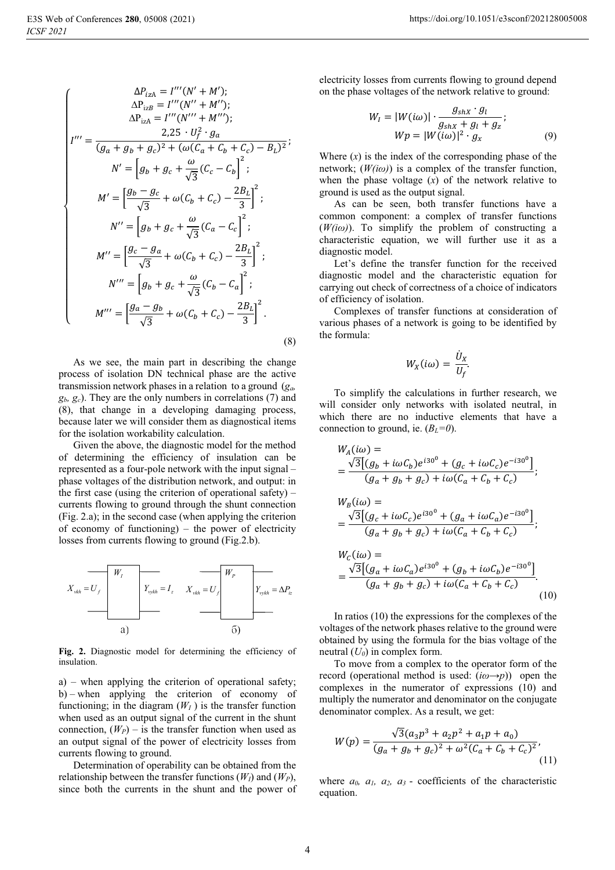$$
\Delta P_{izA} = I'''(N' + M');
$$
  
\n
$$
\Delta P_{izB} = I'''(N'' + M'');
$$
  
\n
$$
\Delta P_{izA} = I'''(N''' + M''');
$$
  
\n
$$
2.25 \cdot U_f^2 \cdot g_a
$$
  
\n
$$
I''' = \frac{2.25 \cdot U_f^2 \cdot g_a}{(g_a + g_b + g_c)^2 + (\omega(C_a + C_b + C_c) - B_L)^2};
$$
  
\n
$$
N' = \left[g_b + g_c + \frac{\omega}{\sqrt{3}}(C_c - C_b)\right]^2;
$$
  
\n
$$
M' = \left[\frac{g_b - g_c}{\sqrt{3}} + \omega(C_b + C_c) - \frac{2B_L}{3}\right]^2;
$$
  
\n
$$
N'' = \left[g_b + g_c + \frac{\omega}{\sqrt{3}}(C_a - C_c)\right]^2;
$$
  
\n
$$
M'' = \left[\frac{g_c - g_a}{\sqrt{3}} + \omega(C_b + C_c) - \frac{2B_L}{3}\right]^2;
$$
  
\n
$$
N''' = \left[g_b + g_c + \frac{\omega}{\sqrt{3}}(C_b - C_a)\right]^2;
$$
  
\n
$$
M''' = \left[\frac{g_a - g_b}{\sqrt{3}} + \omega(C_b + C_c) - \frac{2B_L}{3}\right]^2.
$$
  
\n(8)

As we see, the main part in describing the change process of isolation DN technical phase are the active transmission network phases in a relation to a ground (*ga, gb, gc*). They are the only numbers in correlations (7) and (8), that change in a developing damaging process, because later we will consider them as diagnostical items for the isolation workability calculation.

Given the above, the diagnostic model for the method of determining the efficiency of insulation can be represented as a four-pole network with the input signal – phase voltages of the distribution network, and output: in the first case (using the criterion of operational safety) – currents flowing to ground through the shunt connection (Fig. 2.a); in the second case (when applying the criterion of economy of functioning) – the power of electricity losses from currents flowing to ground (Fig.2.b).



**Fig. 2.** Diagnostic model for determining the efficiency of insulation.

а) – when applying the criterion of operational safety; b) – when applying the criterion of economy of functioning; in the diagram  $(W_I)$  is the transfer function when used as an output signal of the current in the shunt connection,  $(W_P)$  – is the transfer function when used as an output signal of the power of electricity losses from currents flowing to ground.

Determination of operability can be obtained from the relationship between the transfer functions  $(W_I)$  and  $(W_P)$ , since both the currents in the shunt and the power of electricity losses from currents flowing to ground depend on the phase voltages of the network relative to ground:

$$
W_{I} = |W(i\omega)| \cdot \frac{g_{shX} \cdot g_{l}}{g_{shX} + g_{l} + g_{z}};
$$
  

$$
Wp = |W(i\omega)|^{2} \cdot g_{x}
$$
 (9)

Where  $(x)$  is the index of the corresponding phase of the network;  $(W(i\omega))$  is a complex of the transfer function, when the phase voltage  $(x)$  of the network relative to ground is used as the output signal.

As can be seen, both transfer functions have a common component: a complex of transfer functions (*W(iω)*). To simplify the problem of constructing a characteristic equation, we will further use it as a diagnostic model.

Let's define the transfer function for the received diagnostic model and the characteristic equation for carrying out check of correctness of a choice of indicators of efficiency of isolation.

Complexes of transfer functions at consideration of various phases of a network is going to be identified by the formula:

$$
W_X(i\omega) = \frac{\dot{U}_X}{U_f}.
$$

To simplify the calculations in further research, we will consider only networks with isolated neutral, in which there are no inductive elements that have a connection to ground, ie.  $(B_L=0)$ .

 $\overline{a}$ 

$$
W_A(i\omega) =
$$
  
=  $\frac{\sqrt{3}[(g_b + i\omega C_b)e^{i30^0} + (g_c + i\omega C_c)e^{-i30^0}]}{(g_a + g_b + g_c) + i\omega (C_a + C_b + C_c)};$   

$$
W_B(i\omega) =
$$
  
=  $\frac{\sqrt{3}[(g_c + i\omega C_c)e^{i30^0} + (g_a + i\omega C_a)e^{-i30^0}]}{(g_a + g_b + g_c) + i\omega (C_a + C_b + C_c)};$   

$$
W_C(i\omega) =
$$
  
=  $\frac{\sqrt{3}[(g_a + i\omega C_a)e^{i30^0} + (g_b + i\omega C_b)e^{-i30^0}]}{(g_a + g_b + g_c) + i\omega (C_a + C_b + C_c)}.$  (10)

In ratios (10) the expressions for the complexes of the voltages of the network phases relative to the ground were obtained by using the formula for the bias voltage of the neutral (*U0*) in complex form.

To move from a complex to the operator form of the record (operational method is used: (*iω→p*)) open the complexes in the numerator of expressions (10) and multiply the numerator and denominator on the conjugate denominator complex. As a result, we get:

$$
W(p) = \frac{\sqrt{3}(a_3p^3 + a_2p^2 + a_1p + a_0)}{(g_a + g_b + g_c)^2 + \omega^2(C_a + C_b + C_c)^2},
$$
\n(11)

where  $a_0$ ,  $a_1$ ,  $a_2$ ,  $a_3$  - coefficients of the characteristic equation.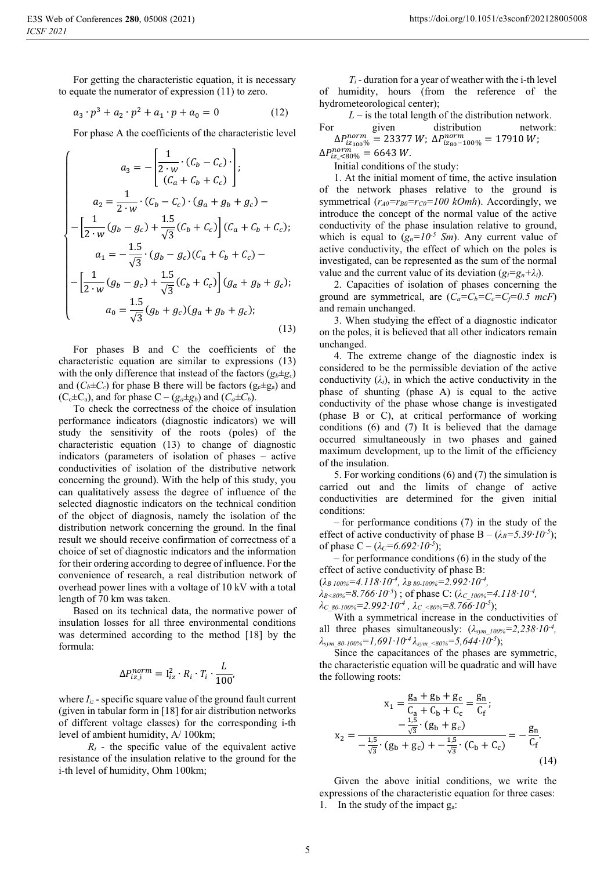For getting the characteristic equation, it is necessary to equate the numerator of expression (11) to zero.

$$
a_3 \cdot p^3 + a_2 \cdot p^2 + a_1 \cdot p + a_0 = 0 \tag{12}
$$

For phase A the coefficients of the characteristic level

$$
a_3 = -\left[\frac{1}{2 \cdot w} \cdot (C_b - C_c) \cdot \right];
$$
  
\n
$$
a_2 = \frac{1}{2 \cdot w} \cdot (C_b - C_c) \cdot (g_a + g_b + g_c) -
$$
  
\n
$$
-\left[\frac{1}{2 \cdot w} (g_b - g_c) + \frac{1.5}{\sqrt{3}} (C_b + C_c)\right] (C_a + C_b + C_c);
$$
  
\n
$$
a_1 = -\frac{1.5}{\sqrt{3}} \cdot (g_b - g_c) (C_a + C_b + C_c) -
$$
  
\n
$$
-\left[\frac{1}{2 \cdot w} (g_b - g_c) + \frac{1.5}{\sqrt{3}} (C_b + C_c)\right] (g_a + g_b + g_c);
$$
  
\n
$$
a_0 = \frac{1.5}{\sqrt{3}} (g_b + g_c) (g_a + g_b + g_c);
$$
\n(13)

For phases В and С the coefficients of the characteristic equation are similar to expressions (13) with the only difference that instead of the factors  $(g_b \pm g_c)$ and  $(C_b \pm C_c)$  for phase B there will be factors  $(g_c \pm g_a)$  and  $(C_c \pm C_a)$ , and for phase  $C - (g_a \pm g_b)$  and  $(C_a \pm C_b)$ .

To check the correctness of the choice of insulation performance indicators (diagnostic indicators) we will study the sensitivity of the roots (poles) of the characteristic equation (13) to change of diagnostic indicators (parameters of isolation of phases – active conductivities of isolation of the distributive network concerning the ground). With the help of this study, you can qualitatively assess the degree of influence of the selected diagnostic indicators on the technical condition of the object of diagnosis, namely the isolation of the distribution network concerning the ground. In the final result we should receive confirmation of correctness of a choice of set of diagnostic indicators and the information for their ordering according to degree of influence. For the convenience of research, a real distribution network of overhead power lines with a voltage of 10 kV with a total length of 70 km was taken.

Based on its technical data, the normative power of insulation losses for all three environmental conditions was determined according to the method [18] by the formula:

$$
\Delta P_{iz\perp}^{norm} = I_{iz}^2 \cdot R_i \cdot T_i \cdot \frac{L}{100}
$$

where  $I_{iz}$  - specific square value of the ground fault current (given in tabular form in [18] for air distribution networks of different voltage classes) for the corresponding i-th level of ambient humidity, A/ 100km;

 $R_i$  - the specific value of the equivalent active resistance of the insulation relative to the ground for the i-th level of humidity, Ohm 100km;

*Ті* - duration for a year of weather with the i-th level of humidity, hours (from the reference of the hydrometeorological center);

 $L$  – is the total length of the distribution network. For given distribution network:  $\Delta P_{iZ_{100}\%}^{iZ_{100}\%} = 23377 \text{ W}$ ;  $\Delta P_{iZ_{80}-100\%}^{iZ_{100}\%} = 17910 \text{ W}$ ;  $\Delta P_{iz}^{norm} = 6643 W.$ 

 $\frac{12.580\%}{\text{Initial conditions of the study:}}$ 

1. At the initial moment of time, the active insulation of the network phases relative to the ground is symmetrical  $(r_{A0} = r_{B0} = r_{C0} = 100 \text{ kOmh})$ . Accordingly, we introduce the concept of the normal value of the active conductivity of the phase insulation relative to ground, which is equal to  $(g_n=10^{-5} \text{ Sm})$ . Any current value of active conductivity, the effect of which on the poles is investigated, can be represented as the sum of the normal value and the current value of its deviation  $(g_i = g_n + \lambda_i)$ .

2. Capacities of isolation of phases concerning the ground are symmetrical, are  $(C_a=C_b=C_c=C_f=0.5$  mcF) and remain unchanged.

3. When studying the effect of a diagnostic indicator on the poles, it is believed that all other indicators remain unchanged.

4. The extreme change of the diagnostic index is considered to be the permissible deviation of the active conductivity  $(\lambda_i)$ , in which the active conductivity in the phase of shunting (phase А) is equal to the active conductivity of the phase whose change is investigated (phase В or С), at critical performance of working conditions (6) and (7) It is believed that the damage occurred simultaneously in two phases and gained maximum development, up to the limit of the efficiency of the insulation.

5. For working conditions (6) and (7) the simulation is carried out and the limits of change of active conductivities are determined for the given initial conditions:

– for performance conditions (7) in the study of the effect of active conductivity of phase  $B - (\lambda_B = 5.39 \cdot 10^{-5})$ ; of phase  $C - (\lambda_C = 6.692 \cdot 10^{-5})$ ;

– for performance conditions (6) in the study of the effect of active conductivity of phase B:  $(\lambda_{B\,100\%} = 4.118 \cdot 10^{-4}, \lambda_{B\,80-100\%} = 2.992 \cdot 10^{-4},$ 

 $\lambda_{B \le 80\%} = 8.766 \cdot 10^{-5}$ ; of phase C: ( $\lambda_{C}$   $_{100\%} = 4.118 \cdot 10^{-4}$ ,  $\lambda_{C_80-100\%}=2.992 \cdot 10^{-4}$ ,  $\lambda_{C_80\%}=8.766 \cdot 10^{-5}$ ;

With a symmetrical increase in the conductivities of all three phases simultaneously:  $(\lambda_{sym\ 100\%}=2.238 \cdot 10^{-4})$ ,  $\lambda_{sym-80-100\%}=1,691\cdot10^{-4} \lambda_{sym-80\%}=5,644\cdot10^{-5});$ 

Since the capacitances of the phases are symmetric, the characteristic equation will be quadratic and will have the following roots:

$$
x_1 = \frac{g_a + g_b + g_c}{C_a + C_b + C_c} = \frac{g_n}{C_f};
$$
  
\n
$$
x_2 = \frac{-\frac{1.5}{\sqrt{3}} \cdot (g_b + g_c)}{-\frac{1.5}{\sqrt{3}} \cdot (g_b + g_c) + -\frac{1.5}{\sqrt{3}} \cdot (C_b + C_c)} = -\frac{g_n}{C_f}.
$$
\n(14)

Given the above initial conditions, we write the expressions of the characteristic equation for three cases: 1. In the study of the impact ga: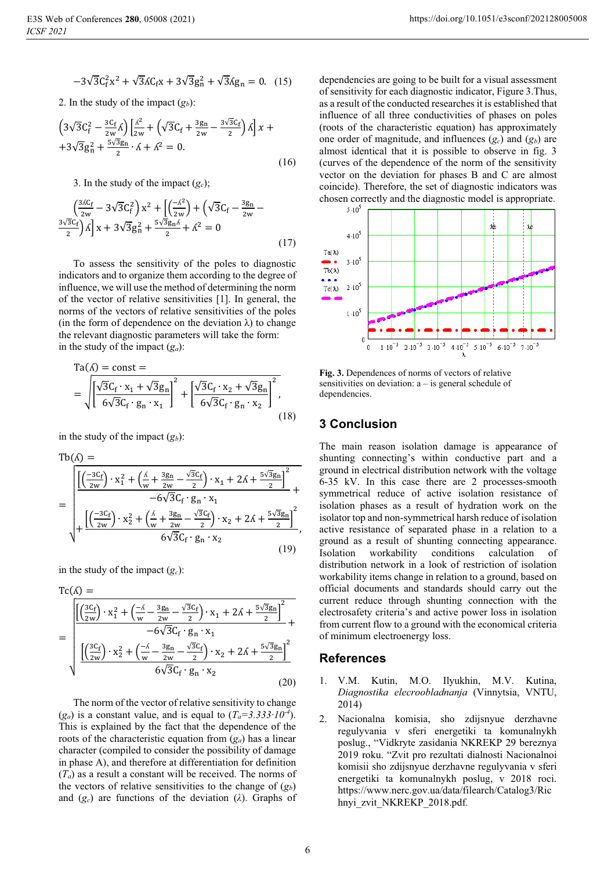$$
-3\sqrt{3}C_f^2x^2 + \sqrt{3}AC_fx + 3\sqrt{3}g_n^2 + \sqrt{3}Ag_n = 0.
$$
 (15)

2. In the study of the impact  $(g_b)$ :

$$
\left(3\sqrt{3}C_f^2 - \frac{3C_f}{2w}\Lambda\right)\left[\frac{\Lambda^2}{2w} + \left(\sqrt{3}C_f + \frac{3g_n}{2w} - \frac{3\sqrt{3}C_f}{2}\right)\Lambda\right]x ++ 3\sqrt{3}g_n^2 + \frac{5\sqrt{3}g_n}{2} \cdot \Lambda + \Lambda^2 = 0.
$$
\n(16)

3. In the study of the impact  $(g_c)$ ;

$$
\left(\frac{3\delta C_f}{2w} - 3\sqrt{3}C_f^2\right)x^2 + \left[\left(\frac{-\delta^2}{2w}\right) + \left(\sqrt{3}C_f - \frac{3g_n}{2w} - \frac{3\sqrt{3}C_f}{2}\right)\delta\right]x + 3\sqrt{3}g_n^2 + \frac{5\sqrt{3}g_n\delta}{2} + \delta^2 = 0\tag{17}
$$

To assess the sensitivity of the poles to diagnostic indicators and to organize them according to the degree of influence, we will use the method of determining the norm of the vector of relative sensitivities [1]. In general, the norms of the vectors of relative sensitivities of the poles (in the form of dependence on the deviation  $\lambda$ ) to change the relevant diagnostic parameters will take the form: in the study of the impact (*ga*):

$$
Ta(\Lambda) = \text{const} =
$$
  
=  $\sqrt{\left[\frac{\sqrt{3}C_f \cdot x_1 + \sqrt{3}g_n}{6\sqrt{3}C_f \cdot g_n \cdot x_1}\right]^2 + \left[\frac{\sqrt{3}C_f \cdot x_2 + \sqrt{3}g_n}{6\sqrt{3}C_f \cdot g_n \cdot x_2}\right]^2}$ , (18)

in the study of the impact  $(g_b)$ :

 $\text{Th}(\Lambda) =$ ⃓ ا، ⃓ ⃓ ⃓  $\overline{\phantom{a}}$ ⃓ ⃓ ⃓ ⃓  $\overline{\phantom{a}}$ ⃓  $\mathbf{I}$  $\overline{1}$  $\frac{1}{2}$  $\frac{x-1}{2w}$   $\cdot$  x<sub>1</sub> +  $\left(\frac{m}{w} + \frac{5m}{2w} - \frac{1}{2}\right) \cdot x_1 + 2\lambda + \frac{5m}{2w}$  $\frac{2}{ }$ −6√3C ∙ g ∙ xB  $\pm$  $\pm$  $\overline{1}$  $\frac{1}{2}$  $2w / \frac{1}{2}$  $\frac{2}{2} + (\frac{2}{w} + \frac{3}{2w} - \frac{1}{2w}) \cdot x_2 + 2\lambda + \frac{3}{2w}$  $-$ <sup>1</sup>  $\sigma$ <sup>1</sup>  $-$ <sup>2</sup> (19)

in the study of the impact (*gc*):

$$
Tc(\Lambda) = \frac{\left[ \left( \frac{3C_{f}}{2w} \right) \cdot x_{1}^{2} + \left( \frac{-\Lambda}{w} - \frac{3g_{n}}{2w} - \frac{\sqrt{3}C_{f}}{2} \right) \cdot x_{1} + 2\Lambda + \frac{5\sqrt{3}g_{n}}{2} \right]^{2}}{-6\sqrt{3}C_{f} \cdot g_{n} \cdot x_{1}} + \frac{\left[ \left( \frac{3C_{f}}{2w} \right) \cdot x_{2}^{2} + \left( \frac{-\Lambda}{w} - \frac{3g_{n}}{2w} - \frac{\sqrt{3}C_{f}}{2} \right) \cdot x_{2} + 2\Lambda + \frac{5\sqrt{3}g_{n}}{2} \right]^{2}}{6\sqrt{3}C_{f} \cdot g_{n} \cdot x_{2}}
$$
(20)

The norm of the vector of relative sensitivity to change  $(g_a)$  is a constant value, and is equal to  $(T_a=3.333 \cdot 10^{-4})$ . This is explained by the fact that the dependence of the roots of the characteristic equation from (*ga*) has a linear character (compiled to consider the possibility of damage in phase A), and therefore at differentiation for definition (*Та*) as a result a constant will be received. The norms of the vectors of relative sensitivities to the change of  $(q<sub>b</sub>)$ and  $(g_c)$  are functions of the deviation ( $\lambda$ ). Graphs of

dependencies are going to be built for a visual assessment of sensitivity for each diagnostic indicator, Figure 3.Thus, as a result of the conducted researches it is established that influence of all three conductivities of phases on poles (roots of the characteristic equation) has approximately one order of magnitude, and influences  $(g_c)$  and  $(g_b)$  are almost identical that it is possible to observe in fig. 3 (curves of the dependence of the norm of the sensitivity vector on the deviation for phases B and C are almost coincide). Therefore, the set of diagnostic indicators was chosen correctly and the diagnostic model is appropriate.



**Fig. 3.** Dependences of norms of vectors of relative sensitivities on deviation:  $a - is$  general schedule of dependencies.

#### **3 Conclusion**

The main reason isolation damage is appearance of shunting connecting's within conductive part and a ground in electrical distribution network with the voltage 6-35 kV. In this case there are 2 processes-smooth symmetrical reduce of active isolation resistance of isolation phases as a result of hydration work on the isolator top and non-symmetrical harsh reduce of isolation active resistance of separated phase in a relation to a ground as a result of shunting connecting appearance. Isolation workability conditions calculation of distribution network in a look of restriction of isolation workability items change in relation to a ground, based on official documents and standards should carry out the current reduce through shunting connection with the electrosafety criteria's and active power loss in isolation from current flow to a ground with the economical criteria of minimum electroenergy loss.

#### **References**

- 1. V.M. Kutin, M.O. Ilyukhin, M.V. Kutina, *Diagnostika elecroobladnanja* (Vinnytsia, VNTU, 2014)
- 2. Nacionalna komisia, sho zdijsnyue derzhavne regulyvania v sferi energetiki ta komunalnykh poslug., "Vidkryte zasidania NKREKP 29 bereznya 2019 roku. "Zvit pro rezultati dialnosti Nacionalnoi komisii sho zdijsnyue derzhavne regulyvania v sferi energetiki ta komunalnykh poslug, v 2018 roci. https://www.nerc.gov.ua/data/filearch/Catalog3/Ric hnyi\_zvit\_NKREKP\_2018.pdf.

,